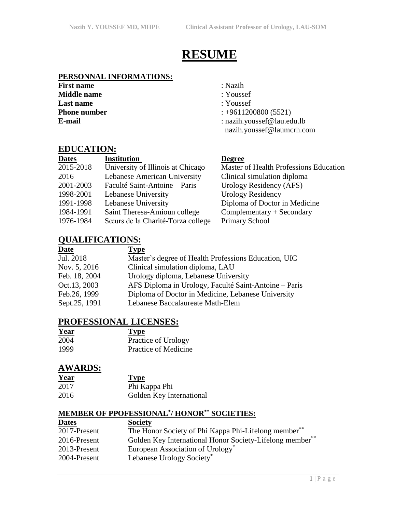# **RESUME**

## **PERSONNAL INFORMATIONS:**

**First name** : Nazih **Middle name** : Youssef **Last name** : Youssef

- 
- 

**Degree** 

- **Phone number** : +9611200800 (5521)
- **E-mail** : nazih.youssef@lau.edu.lb nazih.youssef@laumcrh.com

Clinical simulation diploma Urology Residency (AFS)

Diploma of Doctor in Medicine  $Complementary + Secondary$ 

Urology Residency

Primary School

**Master of Health Professions Education** 

### **EDUCATION:**

| <b>Dates</b> | Institution                       |
|--------------|-----------------------------------|
| 2015-2018    | University of Illinois at Chicago |
| 2016         | Lebanese American University      |
| 2001-2003    | Faculté Saint-Antoine – Paris     |
| 1998-2001    | Lebanese University               |
| 1991-1998    | Lebanese University               |
| 1984-1991    | Saint Theresa-Amioun college      |
| 1976-1984    | Sœurs de la Charité-Torza college |

# **QUALIFICATIONS:**

| Date          | <b>Type</b>                                           |
|---------------|-------------------------------------------------------|
| Jul. 2018     | Master's degree of Health Professions Education, UIC  |
| Nov. 5, 2016  | Clinical simulation diploma, LAU                      |
| Feb. 18, 2004 | Urology diploma, Lebanese University                  |
| Oct.13, 2003  | AFS Diploma in Urology, Faculté Saint-Antoine - Paris |
| Feb.26, 1999  | Diploma of Doctor in Medicine, Lebanese University    |
| Sept.25, 1991 | Lebanese Baccalaureate Math-Elem                      |

# **PROFESSIONAL LICENSES:**

| Year | <b>Type</b>          |
|------|----------------------|
| 2004 | Practice of Urology  |
| 1999 | Practice of Medicine |

### **AWARDS:**

| Year | <b>Type</b>              |
|------|--------------------------|
| 2017 | Phi Kappa Phi            |
| 2016 | Golden Key International |

#### **MEMBER OF PPOFESSIONAL\* / HONOR\*\* SOCIETIES:**

| <b>Dates</b> | <b>Society</b>                                                   |
|--------------|------------------------------------------------------------------|
| 2017-Present | The Honor Society of Phi Kappa Phi-Lifelong member <sup>**</sup> |
| 2016-Present | Golden Key International Honor Society-Lifelong member**         |
| 2013-Present | European Association of Urology <sup>*</sup>                     |
| 2004-Present | Lebanese Urology Society <sup>*</sup>                            |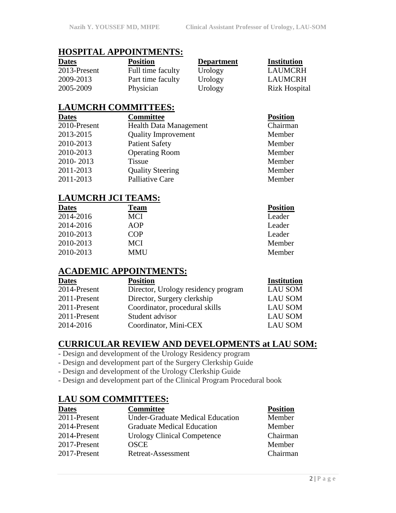### **HOSPITAL APPOINTMENTS:**

| <b>Dates</b> |  |
|--------------|--|
| 2013-Present |  |
| 2009-2013    |  |
| 2005-2009    |  |

Full time faculty Urology LAUMCRH Part time faculty Urology LAUMCRH

**Position Department Institution** 

# Physician Urology Rizk Hospital

# **LAUMCRH COMMITTEES:**

| <b>Dates</b> | <b>Committee</b>              | <b>Position</b> |
|--------------|-------------------------------|-----------------|
| 2010-Present | <b>Health Data Management</b> | Chairman        |
| 2013-2015    | <b>Quality Improvement</b>    | Member          |
| 2010-2013    | <b>Patient Safety</b>         | Member          |
| 2010-2013    | <b>Operating Room</b>         | Member          |
| 2010-2013    | <b>Tissue</b>                 | Member          |
| 2011-2013    | <b>Quality Steering</b>       | Member          |
| 2011-2013    | <b>Palliative Care</b>        | Member          |

# **LAUMCRH JCI TEAMS:**

| <b>Dates</b> | Team       | <b>Position</b> |
|--------------|------------|-----------------|
| 2014-2016    | MCI        | Leader          |
| 2014-2016    | AOP        | Leader          |
| 2010-2013    | COP        | Leader          |
| 2010-2013    | MCI        | Member          |
| 2010-2013    | <b>MMU</b> | Member          |

# **ACADEMIC APPOINTMENTS:**

| <b>Dates</b> | <b>Position</b>                     | <b>Institution</b> |
|--------------|-------------------------------------|--------------------|
| 2014-Present | Director, Urology residency program | <b>LAU SOM</b>     |
| 2011-Present | Director, Surgery clerkship         | <b>LAU SOM</b>     |
| 2011-Present | Coordinator, procedural skills      | <b>LAU SOM</b>     |
| 2011-Present | Student advisor                     | <b>LAU SOM</b>     |
| 2014-2016    | Coordinator, Mini-CEX               | <b>LAU SOM</b>     |
|              |                                     |                    |

# **CURRICULAR REVIEW AND DEVELOPMENTS at LAU SOM:**

- Design and development of the Urology Residency program
- Design and development part of the Surgery Clerkship Guide
- Design and development of the Urology Clerkship Guide
- Design and development part of the Clinical Program Procedural book

### **LAU SOM COMMITTEES:**

| <b>Dates</b> | <b>Committee</b>                        | <b>Position</b> |
|--------------|-----------------------------------------|-----------------|
| 2011-Present | <b>Under-Graduate Medical Education</b> | Member          |
| 2014-Present | <b>Graduate Medical Education</b>       | Member          |
| 2014-Present | <b>Urology Clinical Competence</b>      | Chairman        |
| 2017-Present | <b>OSCE</b>                             | Member          |
| 2017-Present | Retreat-Assessment                      | Chairman        |